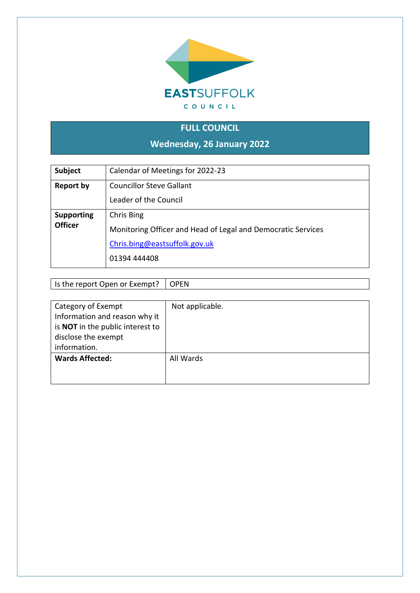

## **FULL COUNCIL**

**Wednesday, 26 January 2022**

| <b>Subject</b>                      | Calendar of Meetings for 2022-23                                                                                            |
|-------------------------------------|-----------------------------------------------------------------------------------------------------------------------------|
| <b>Report by</b>                    | <b>Councillor Steve Gallant</b><br>Leader of the Council                                                                    |
| <b>Supporting</b><br><b>Officer</b> | Chris Bing<br>Monitoring Officer and Head of Legal and Democratic Services<br>Chris.bing@eastsuffolk.gov.uk<br>01394 444408 |

Is the report Open or Exempt? OPEN

| Category of Exempt                      | Not applicable. |
|-----------------------------------------|-----------------|
| Information and reason why it           |                 |
| is <b>NOT</b> in the public interest to |                 |
| disclose the exempt                     |                 |
| information.                            |                 |
| <b>Wards Affected:</b>                  | All Wards       |
|                                         |                 |
|                                         |                 |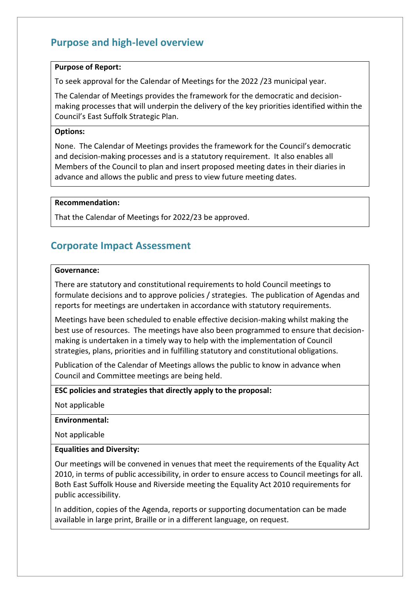## **Purpose and high-level overview**

#### **Purpose of Report:**

To seek approval for the Calendar of Meetings for the 2022 /23 municipal year.

The Calendar of Meetings provides the framework for the democratic and decisionmaking processes that will underpin the delivery of the key priorities identified within the Council's East Suffolk Strategic Plan.

#### **Options:**

None. The Calendar of Meetings provides the framework for the Council's democratic and decision-making processes and is a statutory requirement. It also enables all Members of the Council to plan and insert proposed meeting dates in their diaries in advance and allows the public and press to view future meeting dates.

#### **Recommendation:**

That the Calendar of Meetings for 2022/23 be approved.

### **Corporate Impact Assessment**

#### **Governance:**

There are statutory and constitutional requirements to hold Council meetings to formulate decisions and to approve policies / strategies. The publication of Agendas and reports for meetings are undertaken in accordance with statutory requirements.

Meetings have been scheduled to enable effective decision-making whilst making the best use of resources. The meetings have also been programmed to ensure that decisionmaking is undertaken in a timely way to help with the implementation of Council strategies, plans, priorities and in fulfilling statutory and constitutional obligations.

Publication of the Calendar of Meetings allows the public to know in advance when Council and Committee meetings are being held.

**ESC policies and strategies that directly apply to the proposal:**

Not applicable

#### **Environmental:**

Not applicable

#### **Equalities and Diversity:**

Our meetings will be convened in venues that meet the requirements of the Equality Act 2010, in terms of public accessibility, in order to ensure access to Council meetings for all. Both East Suffolk House and Riverside meeting the Equality Act 2010 requirements for public accessibility.

In addition, copies of the Agenda, reports or supporting documentation can be made available in large print, Braille or in a different language, on request.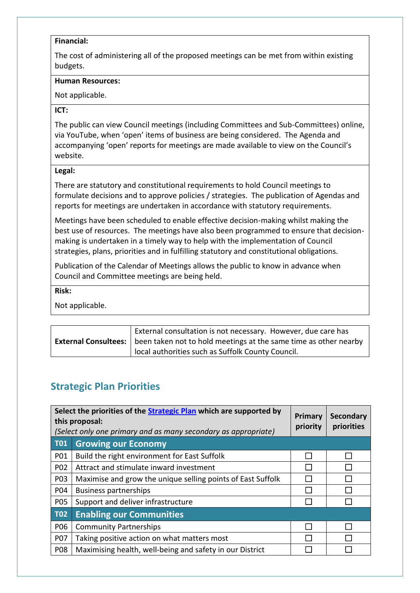#### **Financial:**

The cost of administering all of the proposed meetings can be met from within existing budgets.

#### **Human Resources:**

Not applicable.

#### **ICT:**

The public can view Council meetings (including Committees and Sub-Committees) online, via YouTube, when 'open' items of business are being considered. The Agenda and accompanying 'open' reports for meetings are made available to view on the Council's website.

#### **Legal:**

There are statutory and constitutional requirements to hold Council meetings to formulate decisions and to approve policies / strategies. The publication of Agendas and reports for meetings are undertaken in accordance with statutory requirements.

Meetings have been scheduled to enable effective decision-making whilst making the best use of resources. The meetings have also been programmed to ensure that decisionmaking is undertaken in a timely way to help with the implementation of Council strategies, plans, priorities and in fulfilling statutory and constitutional obligations.

Publication of the Calendar of Meetings allows the public to know in advance when Council and Committee meetings are being held.

#### **Risk:**

Not applicable.

| External consultation is not necessary. However, due care has                                  |
|------------------------------------------------------------------------------------------------|
| <b>External Consultees:</b>   been taken not to hold meetings at the same time as other nearby |
| local authorities such as Suffolk County Council.                                              |

## **Strategic Plan Priorities**

| Select the priorities of the Strategic Plan which are supported by<br>this proposal:<br>(Select only one primary and as many secondary as appropriate) |                                                             | Primary<br>priority | <b>Secondary</b><br>priorities |
|--------------------------------------------------------------------------------------------------------------------------------------------------------|-------------------------------------------------------------|---------------------|--------------------------------|
| <b>T01</b>                                                                                                                                             | <b>Growing our Economy</b>                                  |                     |                                |
| P01                                                                                                                                                    | Build the right environment for East Suffolk                |                     |                                |
| P <sub>02</sub>                                                                                                                                        | Attract and stimulate inward investment                     |                     |                                |
| P03                                                                                                                                                    | Maximise and grow the unique selling points of East Suffolk |                     |                                |
| P04                                                                                                                                                    | <b>Business partnerships</b>                                |                     |                                |
| <b>P05</b>                                                                                                                                             | Support and deliver infrastructure                          |                     |                                |
| <b>T02</b>                                                                                                                                             | <b>Enabling our Communities</b>                             |                     |                                |
| P06                                                                                                                                                    | <b>Community Partnerships</b>                               |                     |                                |
| <b>P07</b>                                                                                                                                             | Taking positive action on what matters most                 |                     |                                |
| <b>P08</b>                                                                                                                                             | Maximising health, well-being and safety in our District    |                     |                                |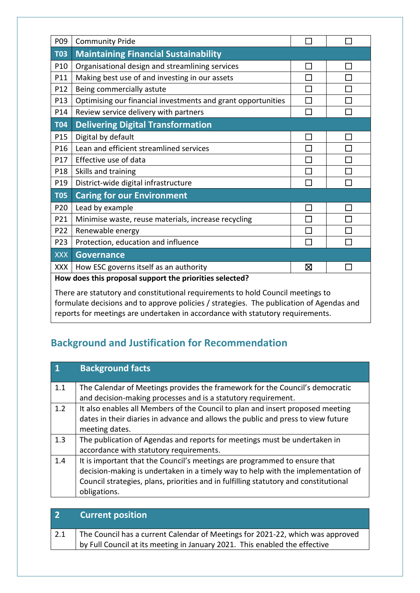| P09                                                                             | <b>Community Pride</b>                                       |        |  |
|---------------------------------------------------------------------------------|--------------------------------------------------------------|--------|--|
| <b>T03</b>                                                                      | <b>Maintaining Financial Sustainability</b>                  |        |  |
| P10                                                                             | Organisational design and streamlining services              | M      |  |
| P11                                                                             | Making best use of and investing in our assets               | П      |  |
| P12                                                                             | Being commercially astute                                    |        |  |
| P13                                                                             | Optimising our financial investments and grant opportunities | $\Box$ |  |
| P14                                                                             | Review service delivery with partners                        | $\Box$ |  |
| <b>T04</b>                                                                      | <b>Delivering Digital Transformation</b>                     |        |  |
| P15                                                                             | Digital by default                                           | $\Box$ |  |
| P16                                                                             | Lean and efficient streamlined services                      | П      |  |
| P17                                                                             | Effective use of data                                        | Г      |  |
| P18                                                                             | Skills and training                                          |        |  |
| P19                                                                             | District-wide digital infrastructure                         | П      |  |
| <b>T05</b>                                                                      | <b>Caring for our Environment</b>                            |        |  |
| P20                                                                             | Lead by example                                              | П      |  |
| P21                                                                             | Minimise waste, reuse materials, increase recycling          | П      |  |
| P22                                                                             | Renewable energy                                             |        |  |
| P23                                                                             | Protection, education and influence                          | П      |  |
| <b>XXX</b>                                                                      | <b>Governance</b>                                            |        |  |
| <b>XXX</b>                                                                      | How ESC governs itself as an authority                       | ⊠      |  |
| How does this proposal support the priorities selected?                         |                                                              |        |  |
| There are statutory and constitutional requirements to hold Council meetings to |                                                              |        |  |

formulate decisions and to approve policies / strategies. The publication of Agendas and reports for meetings are undertaken in accordance with statutory requirements.

# **Background and Justification for Recommendation**

| <b>Background facts</b>                                                              |
|--------------------------------------------------------------------------------------|
| The Calendar of Meetings provides the framework for the Council's democratic         |
| and decision-making processes and is a statutory requirement.                        |
| It also enables all Members of the Council to plan and insert proposed meeting       |
| dates in their diaries in advance and allows the public and press to view future     |
| meeting dates.                                                                       |
| The publication of Agendas and reports for meetings must be undertaken in            |
| accordance with statutory requirements.                                              |
| It is important that the Council's meetings are programmed to ensure that            |
| decision-making is undertaken in a timely way to help with the implementation of     |
| Council strategies, plans, priorities and in fulfilling statutory and constitutional |
| obligations.                                                                         |
|                                                                                      |

| $\overline{\mathbf{2}}$ | <b>Current position</b>                                                        |
|-------------------------|--------------------------------------------------------------------------------|
|                         | The Council has a current Calendar of Meetings for 2021-22, which was approved |
|                         | by Full Council at its meeting in January 2021. This enabled the effective     |
|                         |                                                                                |